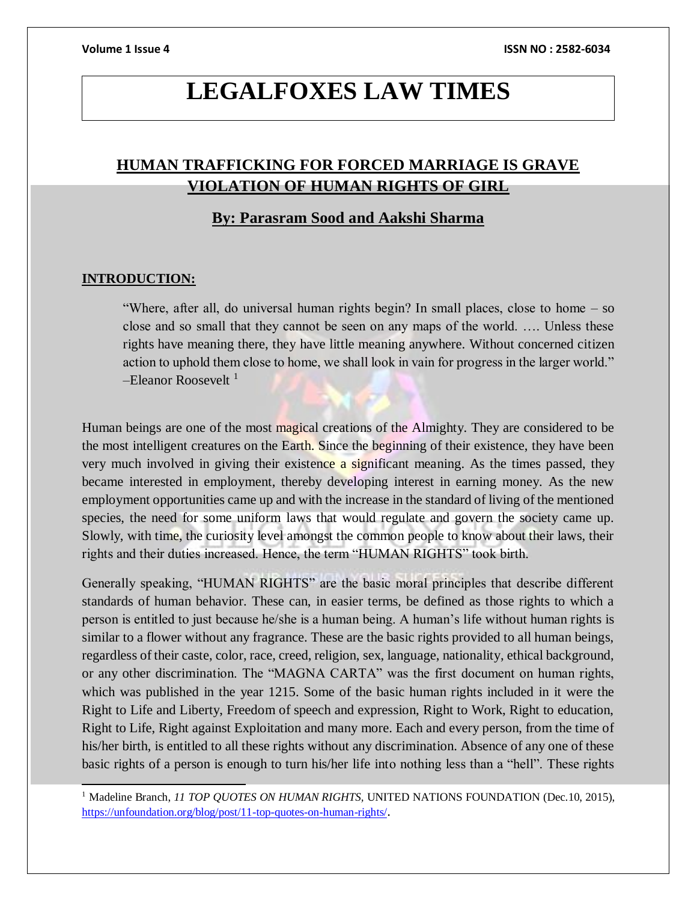# **LEGALFOXES LAW TIMES**

## **HUMAN TRAFFICKING FOR FORCED MARRIAGE IS GRAVE VIOLATION OF HUMAN RIGHTS OF GIRL**

## **By: Parasram Sood and Aakshi Sharma**

### **INTRODUCTION:**

 $\overline{\phantom{a}}$ 

"Where, after all, do universal human rights begin? In small places, close to home – so close and so small that they cannot be seen on any maps of the world. …. Unless these rights have meaning there, they have little meaning anywhere. Without concerned citizen action to uphold them close to home, we shall look in vain for progress in the larger world."  $-$ Eleanor Roosevelt<sup>1</sup>

Human beings are one of the most magical creations of the Almighty. They are considered to be the most intelligent creatures on the Earth. Since the beginning of their existence, they have been very much involved in giving their existence a significant meaning. As the times passed, they became interested in employment, thereby developing interest in earning money. As the new employment opportunities came up and with the increase in the standard of living of the mentioned species, the need for some uniform laws that would regulate and govern the society came up. Slowly, with time, the curiosity level amongst the common people to know about their laws, their rights and their duties increased. Hence, the term "HUMAN RIGHTS" took birth.

Generally speaking, "HUMAN RIGHTS" are the basic moral principles that describe different standards of human behavior. These can, in easier terms, be defined as those rights to which a person is entitled to just because he/she is a human being. A human's life without human rights is similar to a flower without any fragrance. These are the basic rights provided to all human beings, regardless of their caste, color, race, creed, religion, sex, language, nationality, ethical background, or any other discrimination. The "MAGNA CARTA" was the first document on human rights, which was published in the year 1215. Some of the basic human rights included in it were the Right to Life and Liberty, Freedom of speech and expression, Right to Work, Right to education, Right to Life, Right against Exploitation and many more. Each and every person, from the time of his/her birth, is entitled to all these rights without any discrimination. Absence of any one of these basic rights of a person is enough to turn his/her life into nothing less than a "hell". These rights

<sup>&</sup>lt;sup>1</sup> Madeline Branch, *11 TOP QUOTES ON HUMAN RIGHTS*, UNITED NATIONS FOUNDATION (Dec.10, 2015), <https://unfoundation.org/blog/post/11-top-quotes-on-human-rights/>.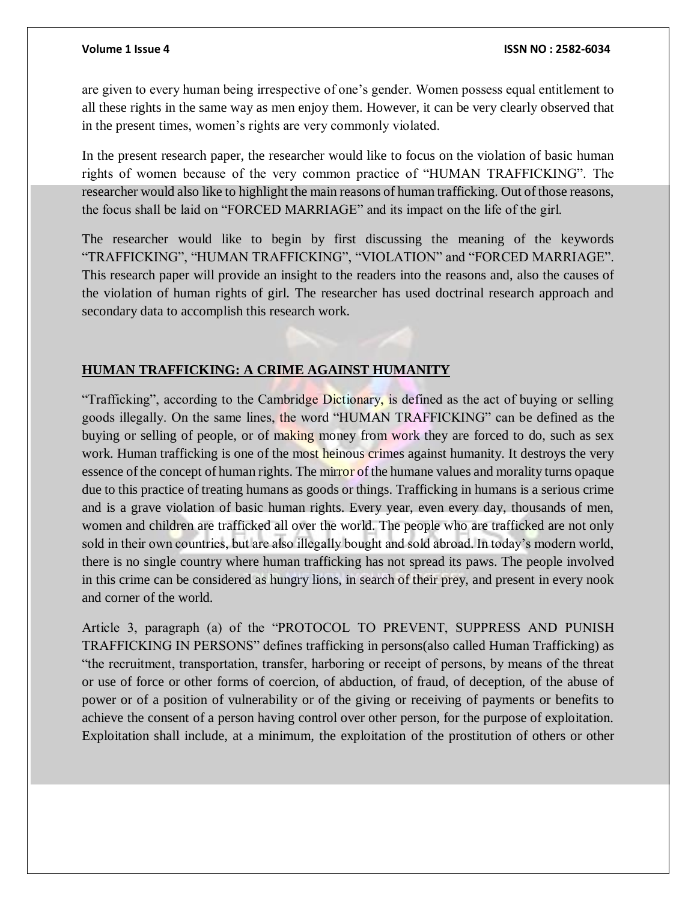are given to every human being irrespective of one's gender. Women possess equal entitlement to all these rights in the same way as men enjoy them. However, it can be very clearly observed that in the present times, women's rights are very commonly violated.

In the present research paper, the researcher would like to focus on the violation of basic human rights of women because of the very common practice of "HUMAN TRAFFICKING". The researcher would also like to highlight the main reasons of human trafficking. Out of those reasons, the focus shall be laid on "FORCED MARRIAGE" and its impact on the life of the girl.

The researcher would like to begin by first discussing the meaning of the keywords "TRAFFICKING", "HUMAN TRAFFICKING", "VIOLATION" and "FORCED MARRIAGE". This research paper will provide an insight to the readers into the reasons and, also the causes of the violation of human rights of girl. The researcher has used doctrinal research approach and secondary data to accomplish this research work.

## **HUMAN TRAFFICKING: A CRIME AGAINST HUMANITY**

"Trafficking", according to the Cambridge Dictionary, is defined as the act of buying or selling goods illegally. On the same lines, the word "HUMAN TRAFFICKING" can be defined as the buying or selling of people, or of making money from work they are forced to do, such as sex work. Human trafficking is one of the most heinous crimes against humanity. It destroys the very essence of the concept of human rights. The mirror of the humane values and morality turns opaque due to this practice of treating humans as goods or things. Trafficking in humans is a serious crime and is a grave violation of basic human rights. Every year, even every day, thousands of men, women and children are trafficked all over the world. The people who are trafficked are not only sold in their own countries, but are also illegally bought and sold abroad. In today's modern world, there is no single country where human trafficking has not spread its paws. The people involved in this crime can be considered as hungry lions, in search of their prey, and present in every nook and corner of the world.

Article 3, paragraph (a) of the "PROTOCOL TO PREVENT, SUPPRESS AND PUNISH TRAFFICKING IN PERSONS" defines trafficking in persons(also called Human Trafficking) as "the recruitment, transportation, transfer, harboring or receipt of persons, by means of the threat or use of force or other forms of coercion, of abduction, of fraud, of deception, of the abuse of power or of a position of vulnerability or of the giving or receiving of payments or benefits to achieve the consent of a person having control over other person, for the purpose of exploitation. Exploitation shall include, at a minimum, the exploitation of the prostitution of others or other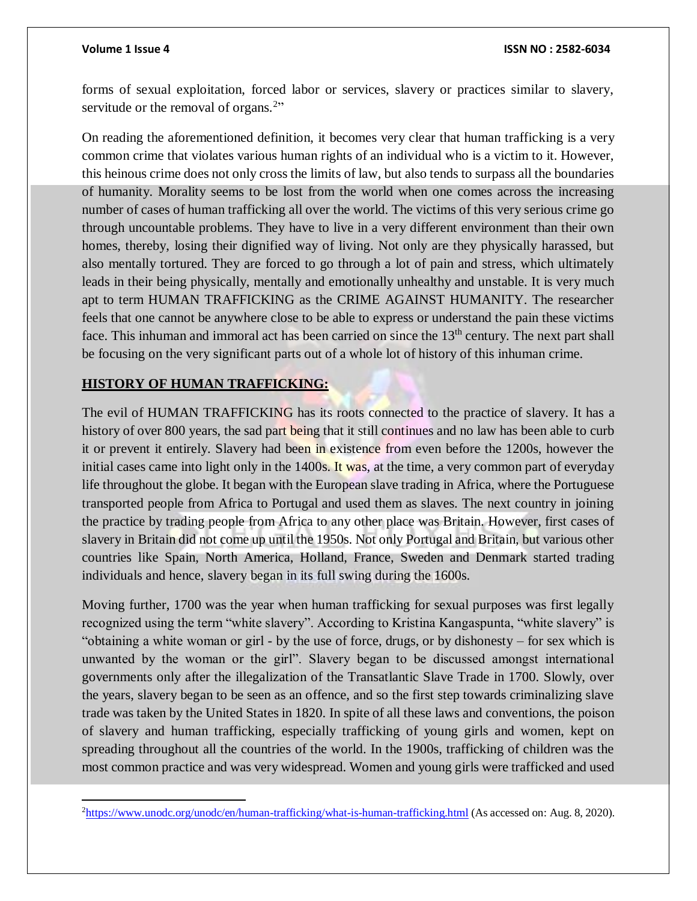forms of sexual exploitation, forced labor or services, slavery or practices similar to slavery, servitude or the removal of organs.<sup>2</sup>"

On reading the aforementioned definition, it becomes very clear that human trafficking is a very common crime that violates various human rights of an individual who is a victim to it. However, this heinous crime does not only cross the limits of law, but also tends to surpass all the boundaries of humanity. Morality seems to be lost from the world when one comes across the increasing number of cases of human trafficking all over the world. The victims of this very serious crime go through uncountable problems. They have to live in a very different environment than their own homes, thereby, losing their dignified way of living. Not only are they physically harassed, but also mentally tortured. They are forced to go through a lot of pain and stress, which ultimately leads in their being physically, mentally and emotionally unhealthy and unstable. It is very much apt to term HUMAN TRAFFICKING as the CRIME AGAINST HUMANITY. The researcher feels that one cannot be anywhere close to be able to express or understand the pain these victims face. This inhuman and immoral act has been carried on since the 13<sup>th</sup> century. The next part shall be focusing on the very significant parts out of a whole lot of history of this inhuman crime.

## **HISTORY OF HUMAN TRAFFICKING:**

The evil of HUMAN TRAFFICKING has its roots connected to the practice of slavery. It has a history of over 800 years, the sad part being that it still continues and no law has been able to curb it or prevent it entirely. Slavery had been in existence from even before the 1200s, however the initial cases came into light only in the 1400s. It was, at the time, a very common part of everyday life throughout the globe. It began with the European slave trading in Africa, where the Portuguese transported people from Africa to Portugal and used them as slaves. The next country in joining the practice by trading people from Africa to any other place was Britain. However, first cases of slavery in Britain did not come up until the 1950s. Not only Portugal and Britain, but various other countries like Spain, North America, Holland, France, Sweden and Denmark started trading individuals and hence, slavery began in its full swing during the 1600s.

Moving further, 1700 was the year when human trafficking for sexual purposes was first legally recognized using the term "white slavery". According to Kristina Kangaspunta, "white slavery" is "obtaining a white woman or girl - by the use of force, drugs, or by dishonesty – for sex which is unwanted by the woman or the girl". Slavery began to be discussed amongst international governments only after the illegalization of the Transatlantic Slave Trade in 1700. Slowly, over the years, slavery began to be seen as an offence, and so the first step towards criminalizing slave trade was taken by the United States in 1820. In spite of all these laws and conventions, the poison of slavery and human trafficking, especially trafficking of young girls and women, kept on spreading throughout all the countries of the world. In the 1900s, trafficking of children was the most common practice and was very widespread. Women and young girls were trafficked and used

 $\overline{a}$ <sup>2</sup><https://www.unodc.org/unodc/en/human-trafficking/what-is-human-trafficking.html> (As accessed on: Aug. 8, 2020).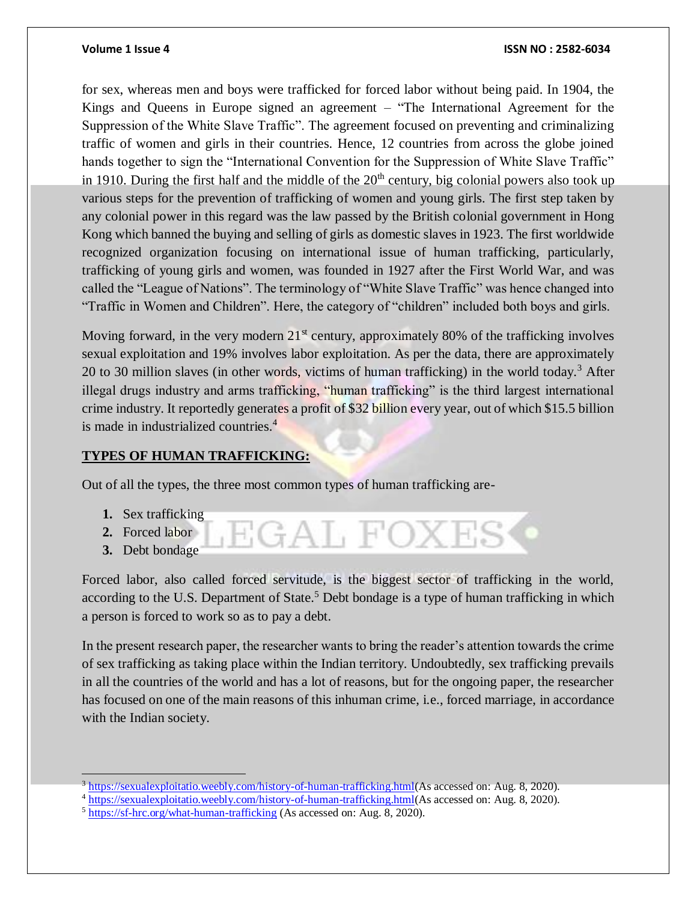### **Volume 1 Issue 4 ISSN NO : 2582-6034**

for sex, whereas men and boys were trafficked for forced labor without being paid. In 1904, the Kings and Queens in Europe signed an agreement – "The International Agreement for the Suppression of the White Slave Traffic". The agreement focused on preventing and criminalizing traffic of women and girls in their countries. Hence, 12 countries from across the globe joined hands together to sign the "International Convention for the Suppression of White Slave Traffic" in 1910. During the first half and the middle of the  $20<sup>th</sup>$  century, big colonial powers also took up various steps for the prevention of trafficking of women and young girls. The first step taken by any colonial power in this regard was the law passed by the British colonial government in Hong Kong which banned the buying and selling of girls as domestic slaves in 1923. The first worldwide recognized organization focusing on international issue of human trafficking, particularly, trafficking of young girls and women, was founded in 1927 after the First World War, and was called the "League of Nations". The terminology of "White Slave Traffic" was hence changed into "Traffic in Women and Children". Here, the category of "children" included both boys and girls.

Moving forward, in the very modern  $21<sup>st</sup>$  century, approximately 80% of the trafficking involves sexual exploitation and 19% involves labor exploitation. As per the data, there are approximately 20 to 30 million slaves (in other words, victims of human trafficking) in the world today.<sup>3</sup> After illegal drugs industry and arms trafficking, "human trafficking" is the third largest international crime industry. It reportedly generates a profit of \$32 billion every year, out of which \$15.5 billion is made in industrialized countries.<sup>4</sup>

### **TYPES OF HUMAN TRAFFICKING:**

Out of all the types, the three most common types of human trafficking are-

- **1.** Sex trafficking
- **2.** Forced labor
- **3.** Debt bondage

 $\overline{a}$ 

Forced labor, also called forced servitude, is the biggest sector of trafficking in the world, according to the U.S. Department of State.<sup>5</sup> Debt bondage is a type of human trafficking in which a person is forced to work so as to pay a debt.

EGAL FOXI

In the present research paper, the researcher wants to bring the reader's attention towards the crime of sex trafficking as taking place within the Indian territory. Undoubtedly, sex trafficking prevails in all the countries of the world and has a lot of reasons, but for the ongoing paper, the researcher has focused on one of the main reasons of this inhuman crime, i.e., forced marriage, in accordance with the Indian society.

<sup>3</sup> [https://sexualexploitatio.weebly.com/history-of-human-trafficking.html\(](https://sexualexploitatio.weebly.com/history-of-human-trafficking.html)As accessed on: Aug. 8, 2020).

<sup>4</sup> [https://sexualexploitatio.weebly.com/history-of-human-trafficking.html\(](https://sexualexploitatio.weebly.com/history-of-human-trafficking.html)As accessed on: Aug. 8, 2020).

<sup>&</sup>lt;sup>5</sup> <https://sf-hrc.org/what-human-trafficking> (As accessed on: Aug. 8, 2020).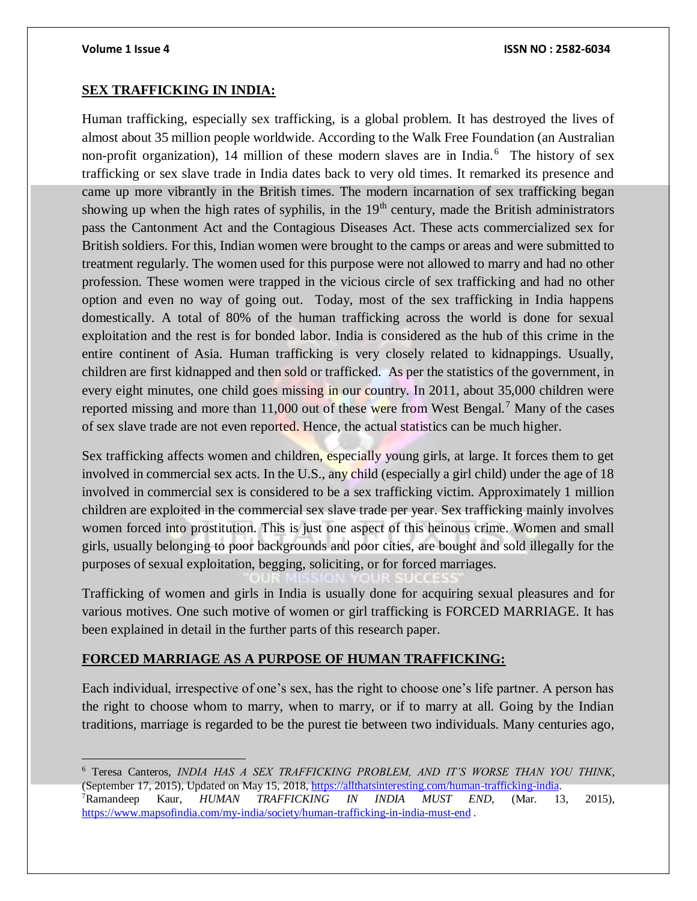$\overline{a}$ 

### **SEX TRAFFICKING IN INDIA:**

Human trafficking, especially sex trafficking, is a global problem. It has destroyed the lives of almost about 35 million people worldwide. According to the Walk Free Foundation (an Australian non-profit organization), 14 million of these modern slaves are in India.<sup>6</sup> The history of sex trafficking or sex slave trade in India dates back to very old times. It remarked its presence and came up more vibrantly in the British times. The modern incarnation of sex trafficking began showing up when the high rates of syphilis, in the  $19<sup>th</sup>$  century, made the British administrators pass the Cantonment Act and the Contagious Diseases Act. These acts commercialized sex for British soldiers. For this, Indian women were brought to the camps or areas and were submitted to treatment regularly. The women used for this purpose were not allowed to marry and had no other profession. These women were trapped in the vicious circle of sex trafficking and had no other option and even no way of going out. Today, most of the sex trafficking in India happens domestically. A total of 80% of the human trafficking across the world is done for sexual exploitation and the rest is for bonded labor. India is considered as the hub of this crime in the entire continent of Asia. Human trafficking is very closely related to kidnappings. Usually, children are first kidnapped and then sold or trafficked. As per the statistics of the government, in every eight minutes, one child goes missing in our country. In 2011, about 35,000 children were reported missing and more than 11,000 out of these were from West Bengal.<sup>7</sup> Many of the cases of sex slave trade are not even reported. Hence, the actual statistics can be much higher.

Sex trafficking affects women and children, especially young girls, at large. It forces them to get involved in commercial sex acts. In the U.S., any child (especially a girl child) under the age of 18 involved in commercial sex is considered to be a sex trafficking victim. Approximately 1 million children are exploited in the commercial sex slave trade per year. Sex trafficking mainly involves women forced into prostitution. This is just one aspect of this heinous crime. Women and small girls, usually belonging to poor backgrounds and poor cities, are bought and sold illegally for the purposes of sexual exploitation, begging, soliciting, or for forced marriages.

Trafficking of women and girls in India is usually done for acquiring sexual pleasures and for various motives. One such motive of women or girl trafficking is FORCED MARRIAGE. It has been explained in detail in the further parts of this research paper.

### **FORCED MARRIAGE AS A PURPOSE OF HUMAN TRAFFICKING:**

Each individual, irrespective of one's sex, has the right to choose one's life partner. A person has the right to choose whom to marry, when to marry, or if to marry at all. Going by the Indian traditions, marriage is regarded to be the purest tie between two individuals. Many centuries ago,

<sup>6</sup> Teresa Canteros, *INDIA HAS A SEX TRAFFICKING PROBLEM, AND IT'S WORSE THAN YOU THINK*, (September 17, 2015), Updated on May 15, 2018[, https://allthatsinteresting.com/human-trafficking-india](https://allthatsinteresting.com/human-trafficking-india). <sup>7</sup>Ramandeep Kaur, *HUMAN TRAFFICKING IN INDIA MUST END*, (Mar. 13, 2015),

<https://www.mapsofindia.com/my-india/society/human-trafficking-in-india-must-end> .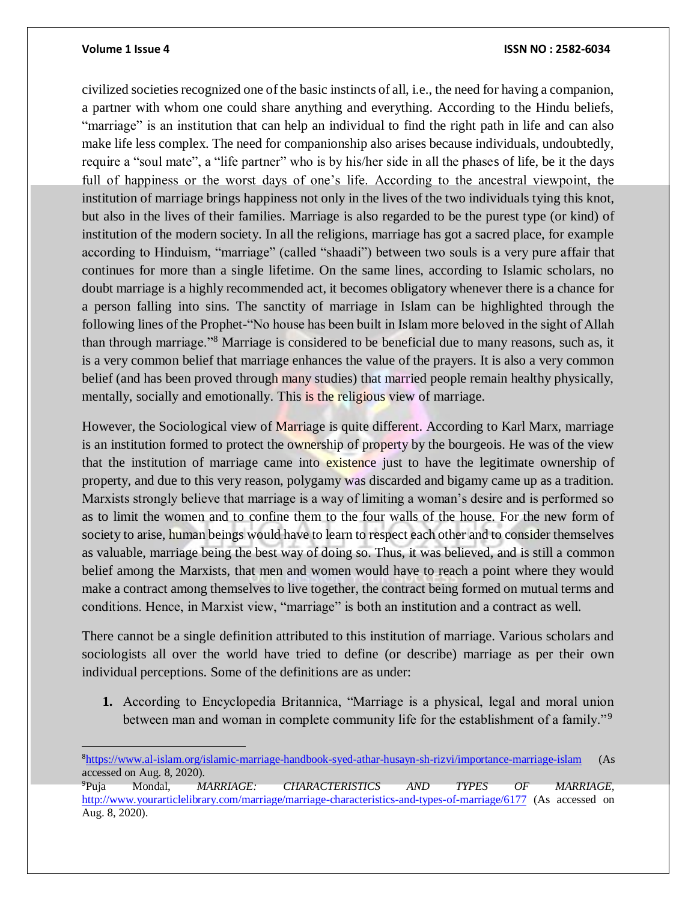### **Volume 1 Issue 4 ISSN NO : 2582-6034**

civilized societies recognized one of the basic instincts of all, i.e., the need for having a companion, a partner with whom one could share anything and everything. According to the Hindu beliefs, "marriage" is an institution that can help an individual to find the right path in life and can also make life less complex. The need for companionship also arises because individuals, undoubtedly, require a "soul mate", a "life partner" who is by his/her side in all the phases of life, be it the days full of happiness or the worst days of one's life. According to the ancestral viewpoint, the institution of marriage brings happiness not only in the lives of the two individuals tying this knot, but also in the lives of their families. Marriage is also regarded to be the purest type (or kind) of institution of the modern society. In all the religions, marriage has got a sacred place, for example according to Hinduism, "marriage" (called "shaadi") between two souls is a very pure affair that continues for more than a single lifetime. On the same lines, according to Islamic scholars, no doubt marriage is a highly recommended act, it becomes obligatory whenever there is a chance for a person falling into sins. The sanctity of marriage in Islam can be highlighted through the following lines of the Prophet-"No house has been built in Islam more beloved in the sight of Allah than through marriage."<sup>8</sup> Marriage is considered to be beneficial due to many reasons, such as, it is a very common belief that marriage enhances the value of the prayers. It is also a very common belief (and has been proved through many studies) that married people remain healthy physically, mentally, socially and emotionally. This is the religious view of marriage.

However, the Sociological view of Marriage is quite different. According to Karl Marx, marriage is an institution formed to protect the ownership of property by the bourgeois. He was of the view that the institution of marriage came into existence just to have the legitimate ownership of property, and due to this very reason, polygamy was discarded and bigamy came up as a tradition. Marxists strongly believe that marriage is a way of limiting a woman's desire and is performed so as to limit the women and to confine them to the four walls of the house. For the new form of society to arise, human beings would have to learn to respect each other and to consider themselves as valuable, marriage being the best way of doing so. Thus, it was believed, and is still a common belief among the Marxists, that men and women would have to reach a point where they would make a contract among themselves to live together, the contract being formed on mutual terms and conditions. Hence, in Marxist view, "marriage" is both an institution and a contract as well.

There cannot be a single definition attributed to this institution of marriage. Various scholars and sociologists all over the world have tried to define (or describe) marriage as per their own individual perceptions. Some of the definitions are as under:

**1.** According to Encyclopedia Britannica, "Marriage is a physical, legal and moral union between man and woman in complete community life for the establishment of a family."<sup>9</sup>

<sup>8</sup><https://www.al-islam.org/islamic-marriage-handbook-syed-athar-husayn-sh-rizvi/importance-marriage-islam> (As accessed on Aug. 8, 2020).

<sup>9</sup>Puja Mondal, *MARRIAGE: CHARACTERISTICS AND TYPES OF MARRIAGE,*  <http://www.yourarticlelibrary.com/marriage/marriage-characteristics-and-types-of-marriage/6177> (As accessed on Aug. 8, 2020).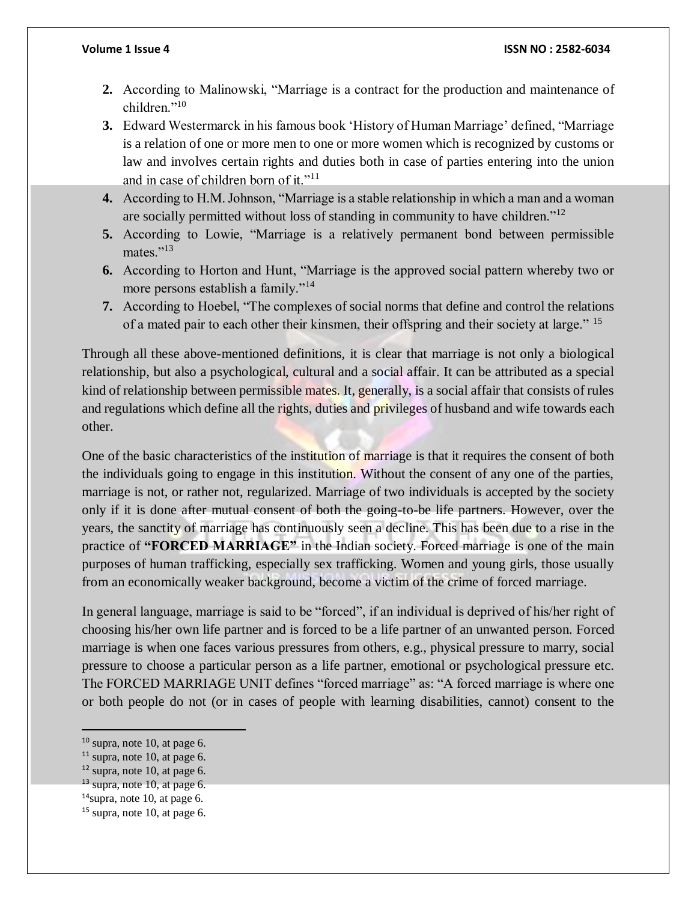- **2.** According to Malinowski, "Marriage is a contract for the production and maintenance of children."<sup>10</sup>
- **3.** Edward Westermarck in his famous book 'History of Human Marriage' defined, "Marriage is a relation of one or more men to one or more women which is recognized by customs or law and involves certain rights and duties both in case of parties entering into the union and in case of children born of it."<sup>11</sup>
- **4.** According to H.M. Johnson, "Marriage is a stable relationship in which a man and a woman are socially permitted without loss of standing in community to have children."<sup>12</sup>
- **5.** According to Lowie, "Marriage is a relatively permanent bond between permissible mates."<sup>13</sup>
- **6.** According to Horton and Hunt, "Marriage is the approved social pattern whereby two or more persons establish a family."<sup>14</sup>
- **7.** According to Hoebel, "The complexes of social norms that define and control the relations of a mated pair to each other their kinsmen, their offspring and their society at large." <sup>15</sup>

Through all these above-mentioned definitions, it is clear that marriage is not only a biological relationship, but also a psychological, cultural and a social affair. It can be attributed as a special kind of relationship between permissible mates. It, generally, is a social affair that consists of rules and regulations which define all the rights, duties and privileges of husband and wife towards each other.

One of the basic characteristics of the institution of marriage is that it requires the consent of both the individuals going to engage in this institution. Without the consent of any one of the parties, marriage is not, or rather not, regularized. Marriage of two individuals is accepted by the society only if it is done after mutual consent of both the going-to-be life partners. However, over the years, the sanctity of marriage has continuously seen a decline. This has been due to a rise in the practice of **"FORCED MARRIAGE"** in the Indian society. Forced marriage is one of the main purposes of human trafficking, especially sex trafficking. Women and young girls, those usually from an economically weaker background, become a victim of the crime of forced marriage.

In general language, marriage is said to be "forced", if an individual is deprived of his/her right of choosing his/her own life partner and is forced to be a life partner of an unwanted person. Forced marriage is when one faces various pressures from others, e.g., physical pressure to marry, social pressure to choose a particular person as a life partner, emotional or psychological pressure etc. The FORCED MARRIAGE UNIT defines "forced marriage" as: "A forced marriage is where one or both people do not (or in cases of people with learning disabilities, cannot) consent to the

 $\overline{a}$ 

 $10$  supra, note 10, at page 6.

 $11$  supra, note 10, at page 6.

 $12$  supra, note 10, at page 6.

 $13$  supra, note 10, at page 6.

 $14$ supra, note 10, at page 6.

 $15$  supra, note 10, at page 6.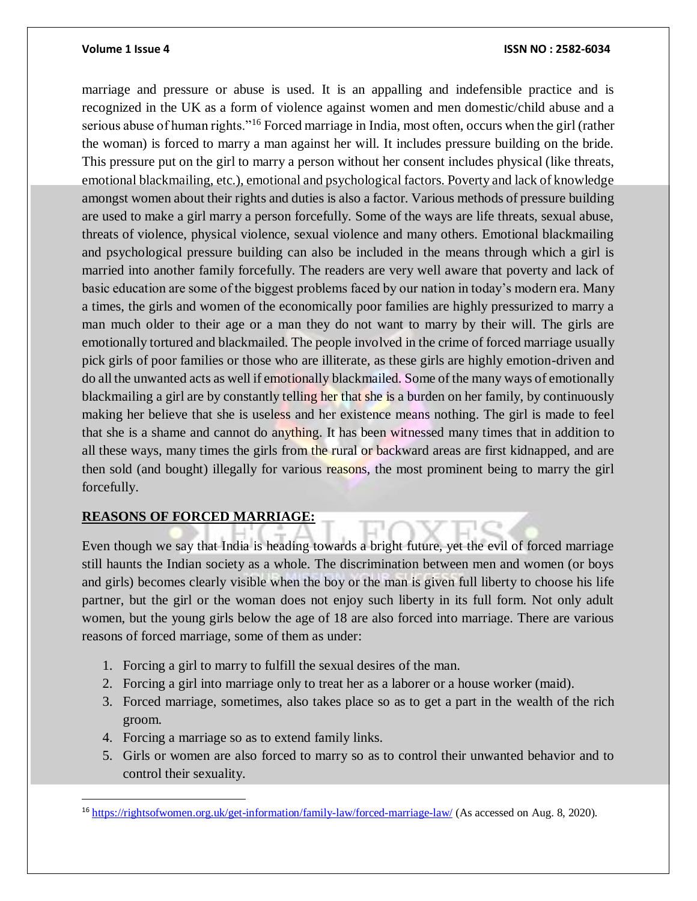### **Volume 1 Issue 4 ISSN NO : 2582-6034**

marriage and pressure or abuse is used. It is an appalling and indefensible practice and is recognized in the UK as a form of violence against women and men domestic/child abuse and a serious abuse of human rights."<sup>16</sup> Forced marriage in India, most often, occurs when the girl (rather the woman) is forced to marry a man against her will. It includes pressure building on the bride. This pressure put on the girl to marry a person without her consent includes physical (like threats, emotional blackmailing, etc.), emotional and psychological factors. Poverty and lack of knowledge amongst women about their rights and duties is also a factor. Various methods of pressure building are used to make a girl marry a person forcefully. Some of the ways are life threats, sexual abuse, threats of violence, physical violence, sexual violence and many others. Emotional blackmailing and psychological pressure building can also be included in the means through which a girl is married into another family forcefully. The readers are very well aware that poverty and lack of basic education are some of the biggest problems faced by our nation in today's modern era. Many a times, the girls and women of the economically poor families are highly pressurized to marry a man much older to their age or a man they do not want to marry by their will. The girls are emotionally tortured and blackmailed. The people involved in the crime of forced marriage usually pick girls of poor families or those who are illiterate, as these girls are highly emotion-driven and do all the unwanted acts as well if emotionally blackmailed. Some of the many ways of emotionally blackmailing a girl are by constantly telling her that she is a burden on her family, by continuously making her believe that she is useless and her existence means nothing. The girl is made to feel that she is a shame and cannot do anything. It has been witnessed many times that in addition to all these ways, many times the girls from the rural or backward areas are first kidnapped, and are then sold (and bought) illegally for various reasons, the most prominent being to marry the girl forcefully.

## **REASONS OF FORCED MARRIAGE:**

Even though we say that India is heading towards a bright future, yet the evil of forced marriage still haunts the Indian society as a whole. The discrimination between men and women (or boys and girls) becomes clearly visible when the boy or the man is given full liberty to choose his life partner, but the girl or the woman does not enjoy such liberty in its full form. Not only adult women, but the young girls below the age of 18 are also forced into marriage. There are various reasons of forced marriage, some of them as under:

- 1. Forcing a girl to marry to fulfill the sexual desires of the man.
- 2. Forcing a girl into marriage only to treat her as a laborer or a house worker (maid).
- 3. Forced marriage, sometimes, also takes place so as to get a part in the wealth of the rich groom.
- 4. Forcing a marriage so as to extend family links.

 $\overline{a}$ 

5. Girls or women are also forced to marry so as to control their unwanted behavior and to control their sexuality.

<sup>16</sup> <https://rightsofwomen.org.uk/get-information/family-law/forced-marriage-law/> (As accessed on Aug. 8, 2020).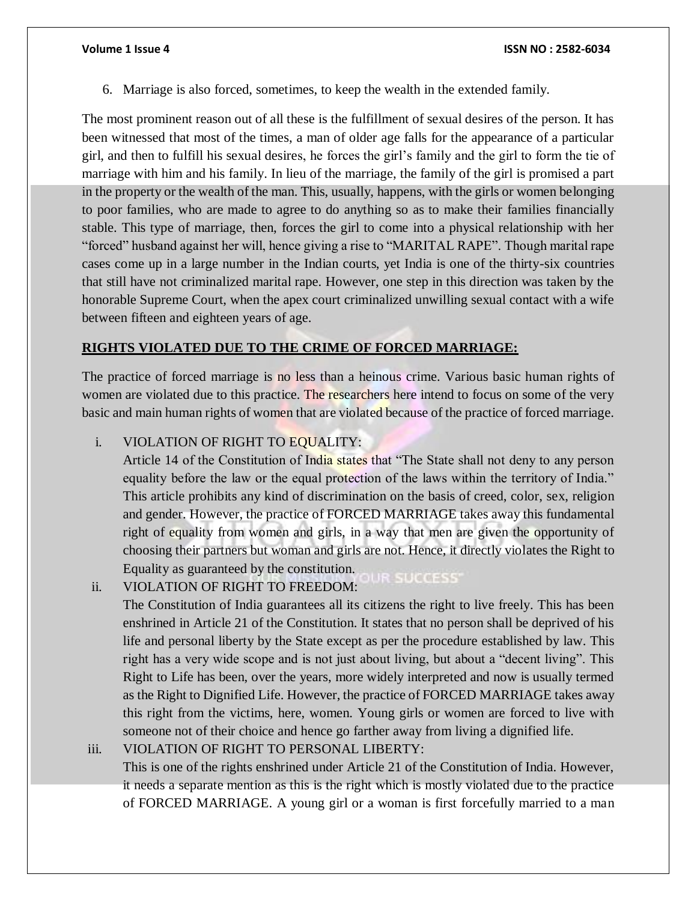6. Marriage is also forced, sometimes, to keep the wealth in the extended family.

The most prominent reason out of all these is the fulfillment of sexual desires of the person. It has been witnessed that most of the times, a man of older age falls for the appearance of a particular girl, and then to fulfill his sexual desires, he forces the girl's family and the girl to form the tie of marriage with him and his family. In lieu of the marriage, the family of the girl is promised a part in the property or the wealth of the man. This, usually, happens, with the girls or women belonging to poor families, who are made to agree to do anything so as to make their families financially stable. This type of marriage, then, forces the girl to come into a physical relationship with her "forced" husband against her will, hence giving a rise to "MARITAL RAPE". Though marital rape cases come up in a large number in the Indian courts, yet India is one of the thirty-six countries that still have not criminalized marital rape. However, one step in this direction was taken by the honorable Supreme Court, when the apex court criminalized unwilling sexual contact with a wife between fifteen and eighteen years of age.

## **RIGHTS VIOLATED DUE TO THE CRIME OF FORCED MARRIAGE:**

The practice of forced marriage is no less than a heinous crime. Various basic human rights of women are violated due to this practice. The researchers here intend to focus on some of the very basic and main human rights of women that are violated because of the practice of forced marriage.

## i. VIOLATION OF RIGHT TO EQUALITY:

Article 14 of the Constitution of India states that "The State shall not deny to any person equality before the law or the equal protection of the laws within the territory of India." This article prohibits any kind of discrimination on the basis of creed, color, sex, religion and gender. However, the practice of FORCED MARRIAGE takes away this fundamental right of equality from women and girls, in a way that men are given the opportunity of choosing their partners but woman and girls are not. Hence, it directly violates the Right to Equality as guaranteed by the constitution.

### **IR SUCCESS** ii. VIOLATION OF RIGHT TO FREEDOM:

The Constitution of India guarantees all its citizens the right to live freely. This has been enshrined in Article 21 of the Constitution. It states that no person shall be deprived of his life and personal liberty by the State except as per the procedure established by law. This right has a very wide scope and is not just about living, but about a "decent living". This Right to Life has been, over the years, more widely interpreted and now is usually termed as the Right to Dignified Life. However, the practice of FORCED MARRIAGE takes away this right from the victims, here, women. Young girls or women are forced to live with someone not of their choice and hence go farther away from living a dignified life.

## iii. VIOLATION OF RIGHT TO PERSONAL LIBERTY:

This is one of the rights enshrined under Article 21 of the Constitution of India. However, it needs a separate mention as this is the right which is mostly violated due to the practice of FORCED MARRIAGE. A young girl or a woman is first forcefully married to a man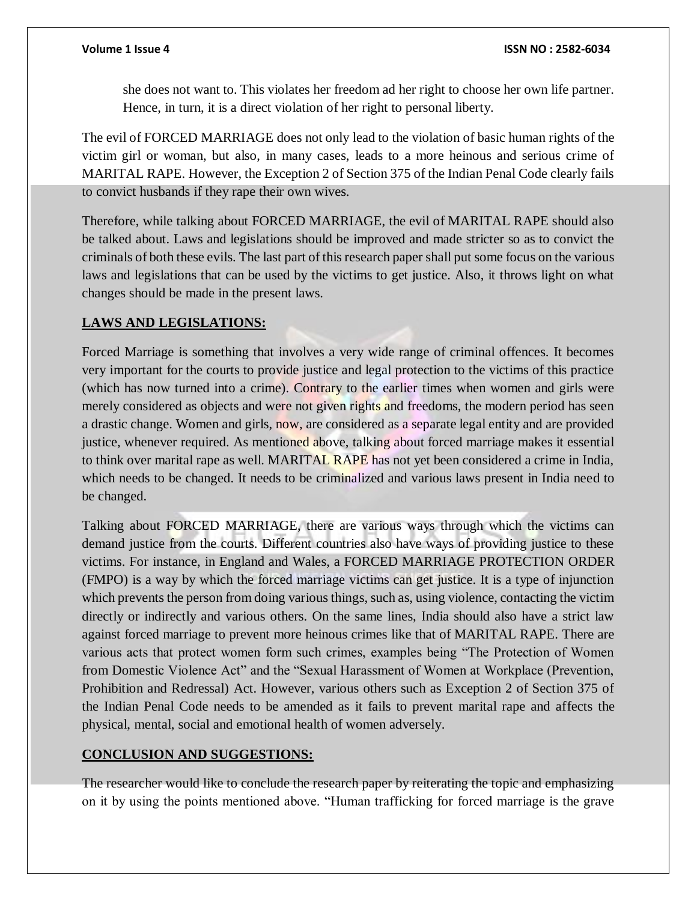she does not want to. This violates her freedom ad her right to choose her own life partner. Hence, in turn, it is a direct violation of her right to personal liberty.

The evil of FORCED MARRIAGE does not only lead to the violation of basic human rights of the victim girl or woman, but also, in many cases, leads to a more heinous and serious crime of MARITAL RAPE. However, the Exception 2 of Section 375 of the Indian Penal Code clearly fails to convict husbands if they rape their own wives.

Therefore, while talking about FORCED MARRIAGE, the evil of MARITAL RAPE should also be talked about. Laws and legislations should be improved and made stricter so as to convict the criminals of both these evils. The last part of this research paper shall put some focus on the various laws and legislations that can be used by the victims to get justice. Also, it throws light on what changes should be made in the present laws.

## **LAWS AND LEGISLATIONS:**

Forced Marriage is something that involves a very wide range of criminal offences. It becomes very important for the courts to provide justice and legal protection to the victims of this practice (which has now turned into a crime). Contrary to the earlier times when women and girls were merely considered as objects and were not given rights and freedoms, the modern period has seen a drastic change. Women and girls, now, are considered as a separate legal entity and are provided justice, whenever required. As mentioned above, talking about forced marriage makes it essential to think over marital rape as well. MARITAL RAPE has not yet been considered a crime in India, which needs to be changed. It needs to be criminalized and various laws present in India need to be changed.

Talking about FORCED MARRIAGE, there are various ways through which the victims can demand justice from the courts. Different countries also have ways of providing justice to these victims. For instance, in England and Wales, a FORCED MARRIAGE PROTECTION ORDER (FMPO) is a way by which the forced marriage victims can get justice. It is a type of injunction which prevents the person from doing various things, such as, using violence, contacting the victim directly or indirectly and various others. On the same lines, India should also have a strict law against forced marriage to prevent more heinous crimes like that of MARITAL RAPE. There are various acts that protect women form such crimes, examples being "The Protection of Women from Domestic Violence Act" and the "Sexual Harassment of Women at Workplace (Prevention, Prohibition and Redressal) Act. However, various others such as Exception 2 of Section 375 of the Indian Penal Code needs to be amended as it fails to prevent marital rape and affects the physical, mental, social and emotional health of women adversely.

## **CONCLUSION AND SUGGESTIONS:**

The researcher would like to conclude the research paper by reiterating the topic and emphasizing on it by using the points mentioned above. "Human trafficking for forced marriage is the grave